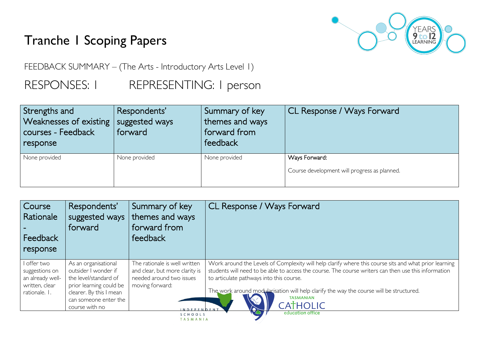## Tranche 1 Scoping Papers



FEEDBACK SUMMARY – (The Arts - Introductory Arts Level 1)

RESPONSES: I REPRESENTING: I person

| Strengths and<br>Weaknesses of existing<br>courses - Feedback<br>response | Respondents'<br>suggested ways<br>forward | Summary of key<br>themes and ways<br>forward from<br>feedback | CL Response / Ways Forward                                    |
|---------------------------------------------------------------------------|-------------------------------------------|---------------------------------------------------------------|---------------------------------------------------------------|
| None provided                                                             | None provided                             | None provided                                                 | Ways Forward:<br>Course development will progress as planned. |

| Course<br><b>Rationale</b><br>Feedback<br>response                                   | Respondents'<br>suggested ways<br>forward                                                                                                                              | Summary of key<br>themes and ways<br>forward from<br>feedback                                                                        | CL Response / Ways Forward                                                                                                                                                                                                                                                                                                                                                           |
|--------------------------------------------------------------------------------------|------------------------------------------------------------------------------------------------------------------------------------------------------------------------|--------------------------------------------------------------------------------------------------------------------------------------|--------------------------------------------------------------------------------------------------------------------------------------------------------------------------------------------------------------------------------------------------------------------------------------------------------------------------------------------------------------------------------------|
| I offer two<br>suggestions on<br>an already well-<br>written, clear<br>rationale. I. | As an organisational<br>outsider I wonder if<br>the level/standard of<br>prior learning could be<br>clearer. By this I mean<br>can someone enter the<br>course with no | The rationale is well written<br>and clear, but more clarity is<br>needed around two issues<br>moving forward:<br><b>INDEPENDENT</b> | Work around the Levels of Complexity will help clarify where this course sits and what prior learning<br>students will need to be able to access the course. The course writers can then use this information<br>to articulate pathways into this course.<br>The work around modularisation will help clarify the way the course will be structured.<br><b>TASMANIAN</b><br>CATHOLIC |
|                                                                                      |                                                                                                                                                                        | SCHOOLS<br>TASMANIA                                                                                                                  | education office                                                                                                                                                                                                                                                                                                                                                                     |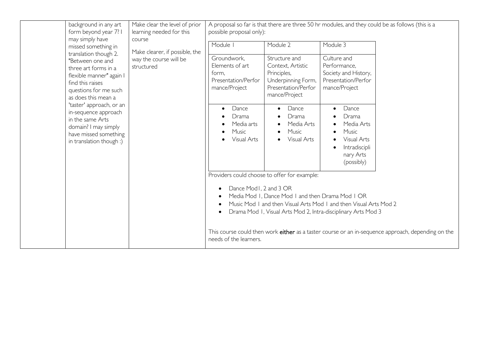|                                                                                                                                                                                                                                                                                                                        | background in any art<br>form beyond year 7? I<br>may simply have<br>missed something in | Make clear the level of prior<br>learning needed for this<br>course<br>Make clearer, if possible, the                                                                                                                                                                                      | A proposal so far is that there are three 50 hr modules, and they could be as follows (this is a<br>possible proposal only): |                                                                                                  |                                                                                                    |  |
|------------------------------------------------------------------------------------------------------------------------------------------------------------------------------------------------------------------------------------------------------------------------------------------------------------------------|------------------------------------------------------------------------------------------|--------------------------------------------------------------------------------------------------------------------------------------------------------------------------------------------------------------------------------------------------------------------------------------------|------------------------------------------------------------------------------------------------------------------------------|--------------------------------------------------------------------------------------------------|----------------------------------------------------------------------------------------------------|--|
|                                                                                                                                                                                                                                                                                                                        |                                                                                          |                                                                                                                                                                                                                                                                                            | Module I                                                                                                                     | Module 2                                                                                         | Module 3                                                                                           |  |
| translation though 2.<br>"Between one and<br>three art forms in a<br>flexible manner" again I<br>find this raises<br>questions for me such<br>as does this mean a<br>'taster' approach, or an<br>in-sequence approach<br>in the same Arts<br>domain? I may simply<br>have missed something<br>in translation though :) | way the course will be<br>structured                                                     | Groundwork,<br>Elements of art<br>form,<br>Presentation/Perfor<br>mance/Project                                                                                                                                                                                                            | Structure and<br>Context, Artistic<br>Principles,<br>Underpinning Form,<br>Presentation/Perfor<br>mance/Project              | Culture and<br>Performance,<br>Society and History,<br>Presentation/Perfor<br>mance/Project      |                                                                                                    |  |
|                                                                                                                                                                                                                                                                                                                        |                                                                                          | Dance<br>Drama<br>Media arts<br>Music<br>Visual Arts                                                                                                                                                                                                                                       | Dance<br>Drama<br>Media Arts<br>Music<br>Visual Arts                                                                         | Dance<br>Drama<br>Media Arts<br>Music<br>Visual Arts<br>Intradiscipli<br>nary Arts<br>(possibly) |                                                                                                    |  |
|                                                                                                                                                                                                                                                                                                                        |                                                                                          | Providers could choose to offer for example:<br>Dance Mod1, 2 and 3 OR<br>Media Mod I, Dance Mod I and then Drama Mod I OR<br>$\bullet$<br>Music Mod I and then Visual Arts Mod I and then Visual Arts Mod 2<br>$\bullet$<br>Drama Mod I, Visual Arts Mod 2, Intra-disciplinary Arts Mod 3 |                                                                                                                              |                                                                                                  |                                                                                                    |  |
|                                                                                                                                                                                                                                                                                                                        |                                                                                          |                                                                                                                                                                                                                                                                                            | needs of the learners.                                                                                                       |                                                                                                  | This course could then work either as a taster course or an in-sequence approach, depending on the |  |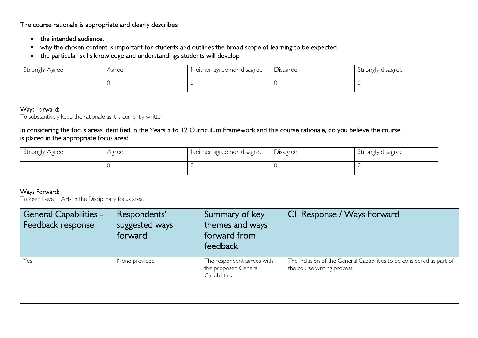The course rationale is appropriate and clearly describes:

- the intended audience,
- why the chosen content is important for students and outlines the broad scope of learning to be expected
- the particular skills knowledge and understandings students will develop

| Strongly Agree | Agree | Neither agree nor disagree | Disagree | Strongly disagree |
|----------------|-------|----------------------------|----------|-------------------|
|                |       |                            |          |                   |

## Ways Forward:

To substantively keep the rationale as it is currently written.

## In considering the focus areas identified in the Years 9 to 12 Curriculum Framework and this course rationale, do you believe the course is placed in the appropriate focus area?

| Strongly Agree | Agree | Neither agree nor disagree | Disagree | Strongly disagree |
|----------------|-------|----------------------------|----------|-------------------|
|                |       |                            |          |                   |

## Ways Forward:

To keep Level 1 Arts in the Disciplinary focus area.

| <b>General Capabilities -</b><br>Feedback response | Respondents'<br>suggested ways<br>forward | Summary of key<br>themes and ways<br>forward from<br>feedback       | CL Response / Ways Forward                                                                           |
|----------------------------------------------------|-------------------------------------------|---------------------------------------------------------------------|------------------------------------------------------------------------------------------------------|
| Yes                                                | None provided                             | The respondent agrees with<br>the proposed General<br>Capabilities. | The inclusion of the General Capabilities to be considered as part of<br>the course writing process. |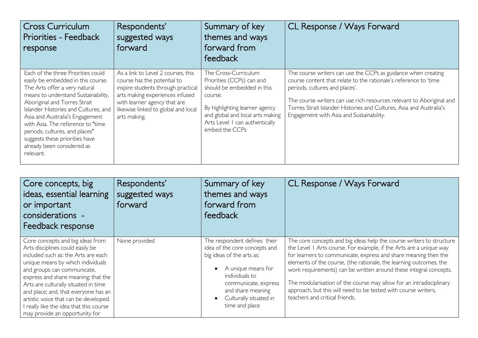| <b>Cross Curriculum</b><br>Priorities - Feedback<br>response                                                                                                                                                                                                                                                                                                                                                    | Respondents'<br>suggested ways<br>forward                                                                                                                                                                                         | Summary of key<br>themes and ways<br>forward from<br>feedback                                                                                                                                                        | CL Response / Ways Forward                                                                                                                                                                                                                                                                                                                                     |
|-----------------------------------------------------------------------------------------------------------------------------------------------------------------------------------------------------------------------------------------------------------------------------------------------------------------------------------------------------------------------------------------------------------------|-----------------------------------------------------------------------------------------------------------------------------------------------------------------------------------------------------------------------------------|----------------------------------------------------------------------------------------------------------------------------------------------------------------------------------------------------------------------|----------------------------------------------------------------------------------------------------------------------------------------------------------------------------------------------------------------------------------------------------------------------------------------------------------------------------------------------------------------|
| Each of the three Priorities could<br>easily be embedded in this course.<br>The Arts offer a very natural<br>means to understand Sustainability,<br>Aboriginal and Torres Strait<br>Islander Histories and Cultures, and<br>Asia and Australia's Engagement<br>with Asia. The reference to "time<br>periods, cultures, and places"<br>suggests these priorities have<br>already been considered as<br>relevant. | As a link to Level 2 courses, this<br>course has the potential to<br>inspire students through practical<br>arts making experiences infused<br>with learner agency that are<br>likewise linked to global and local<br>arts making. | The Cross-Curriculum<br>Priorities (CCPs) can and<br>should be embedded in this<br>course.<br>By highlighting learner agency<br>and global and local arts making<br>Arts Level I can authentically<br>embed the CCPs | The course writers can use the CCPs as guidance when creating<br>course content that relate to the rationale's reference to 'time<br>periods, cultures and places'.<br>The course writers can use rich resources relevant to Aboriginal and<br>Torres Strait Islander Histories and Cultures, Asia and Australia's<br>Engagement with Asia and Sustainability. |

| Core concepts, big<br>ideas, essential learning<br>or important<br>considerations -<br>Feedback response                                                                                                                                                                                                                                                                                                                     | Respondents'<br>suggested ways<br>forward | Summary of key<br>themes and ways<br>forward from<br>feedback                                                                                                                                                                            | CL Response / Ways Forward                                                                                                                                                                                                                                                                                                                                                                                                                                                                                                          |
|------------------------------------------------------------------------------------------------------------------------------------------------------------------------------------------------------------------------------------------------------------------------------------------------------------------------------------------------------------------------------------------------------------------------------|-------------------------------------------|------------------------------------------------------------------------------------------------------------------------------------------------------------------------------------------------------------------------------------------|-------------------------------------------------------------------------------------------------------------------------------------------------------------------------------------------------------------------------------------------------------------------------------------------------------------------------------------------------------------------------------------------------------------------------------------------------------------------------------------------------------------------------------------|
| Core concepts and big ideas from<br>Arts disciplines could easily be<br>included such as: the Arts are each<br>unique means by which individuals<br>and groups can communicate,<br>express and share meaning; that the<br>Arts are culturally situated in time<br>and place; and, that everyone has an<br>artistic voice that can be developed.<br>I really like the idea that this course<br>may provide an opportunity for | None provided                             | The respondent defines their<br>idea of the core concepts and<br>big ideas of the arts as:<br>A unique means for<br>$\bullet$<br>individuals to<br>communicate, express<br>and share meaning<br>Culturally situated in<br>time and place | The core concepts and big ideas help the course writers to structure<br>the Level I Arts course. For example, if the Arts are a unique way<br>for learners to communicate, express and share meaning then the<br>elements of the course, (the rationale, the learning outcomes, the<br>work requirements) can be written around these integral concepts.<br>The modularisation of the course may allow for an intradisciplinary<br>approach, but this will need to be tested with course writers,<br>teachers and critical friends. |